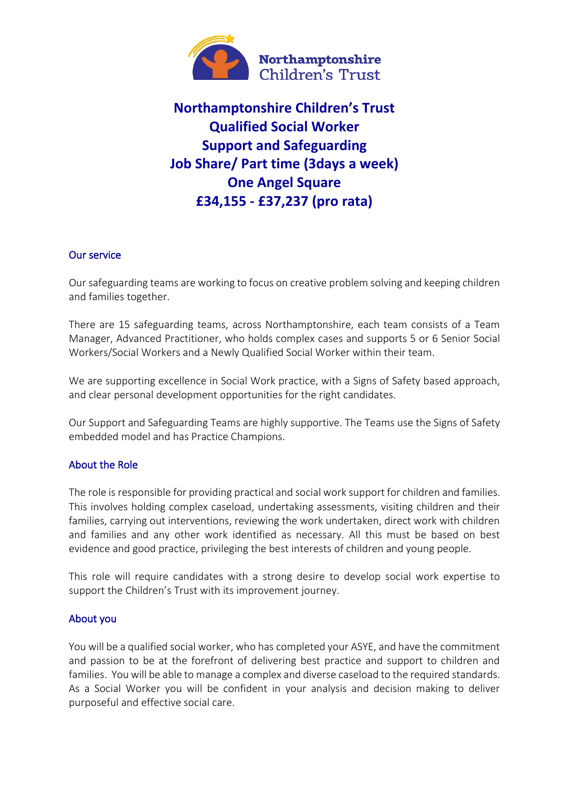

# **Northamptonshire Children's Trust Qualified Social Worker Support and Safeguarding Job Share/ Part time (3days a week) One Angel Square £34,155 - £37,237 (pro rata)**

## Our service

Our safeguarding teams are working to focus on creative problem solving and keeping children and families together.

There are 15 safeguarding teams, across Northamptonshire, each team consists of a Team Manager, Advanced Practitioner, who holds complex cases and supports 5 or 6 Senior Social Workers/Social Workers and a Newly Qualified Social Worker within their team.

We are supporting excellence in Social Work practice, with a Signs of Safety based approach, and clear personal development opportunities for the right candidates.

Our Support and Safeguarding Teams are highly supportive. The Teams use the Signs of Safety embedded model and has Practice Champions.

## About the Role

The role is responsible for providing practical and social work support for children and families. This involves holding complex caseload, undertaking assessments, visiting children and their families, carrying out interventions, reviewing the work undertaken, direct work with children and families and any other work identified as necessary. All this must be based on best evidence and good practice, privileging the best interests of children and young people.

This role will require candidates with a strong desire to develop social work expertise to support the Children's Trust with its improvement journey.

#### About you

You will be a qualified social worker, who has completed your ASYE, and have the commitment and passion to be at the forefront of delivering best practice and support to children and families. You will be able to manage a complex and diverse caseload to the required standards. As a Social Worker you will be confident in your analysis and decision making to deliver purposeful and effective social care.